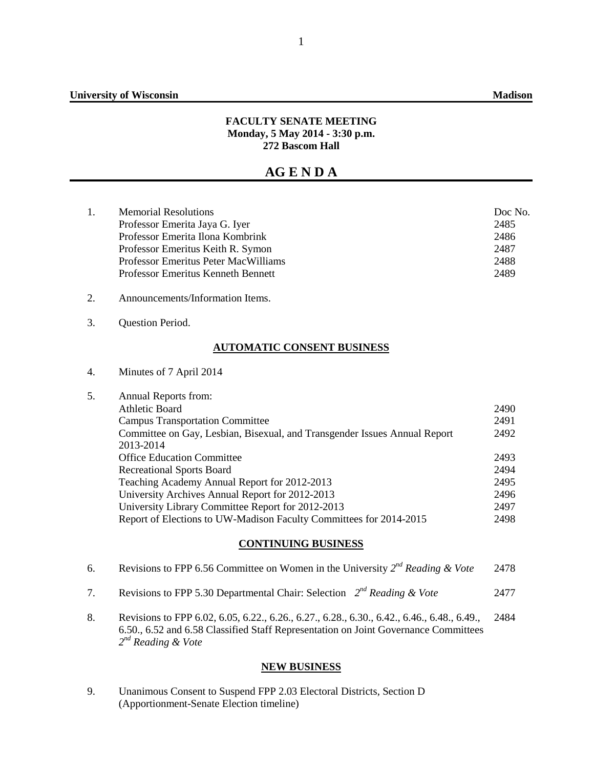#### **FACULTY SENATE MEETING Monday, 5 May 2014 - 3:30 p.m. 272 Bascom Hall**

# **AG E N D A**

| <b>Memorial Resolutions</b>               | Doc No. |
|-------------------------------------------|---------|
| Professor Emerita Jaya G. Iyer            | 2485    |
| Professor Emerita Ilona Kombrink          | 2486    |
| Professor Emeritus Keith R. Symon         | 2487    |
| Professor Emeritus Peter MacWilliams      | 2488    |
| <b>Professor Emeritus Kenneth Bennett</b> | 2489    |
|                                           |         |

- 2. Announcements/Information Items.
- 3. Question Period.

## **AUTOMATIC CONSENT BUSINESS**

4. Minutes of 7 April 2014

| 5. | Annual Reports from:                                                      |      |
|----|---------------------------------------------------------------------------|------|
|    | Athletic Board                                                            | 2490 |
|    | <b>Campus Transportation Committee</b>                                    | 2491 |
|    | Committee on Gay, Lesbian, Bisexual, and Transgender Issues Annual Report | 2492 |
|    | 2013-2014                                                                 |      |
|    | <b>Office Education Committee</b>                                         | 2493 |
|    | <b>Recreational Sports Board</b>                                          | 2494 |
|    | Teaching Academy Annual Report for 2012-2013                              | 2495 |
|    | University Archives Annual Report for 2012-2013                           | 2496 |
|    | University Library Committee Report for 2012-2013                         | 2497 |
|    | Report of Elections to UW-Madison Faculty Committees for 2014-2015        | 2498 |
|    |                                                                           |      |

## **CONTINUING BUSINESS**

|  | Revisions to FPP 6.56 Committee on Women in the University $2^{nd}$ Reading & Vote | 2478 |
|--|------------------------------------------------------------------------------------|------|
|--|------------------------------------------------------------------------------------|------|

- 7. Revisions to FPP 5.30 Departmental Chair: Selection *2nd Reading & Vote* 2477
- 8. Revisions to FPP 6.02, 6.05, 6.22., 6.26., 6.27., 6.28., 6.30., 6.42., 6.46., 6.48., 6.49., 6.50., 6.52 and 6.58 Classified Staff Representation on Joint Governance Committees *2nd Reading & Vote* 2484

#### **NEW BUSINESS**

9. Unanimous Consent to Suspend FPP 2.03 Electoral Districts, Section D (Apportionment-Senate Election timeline)